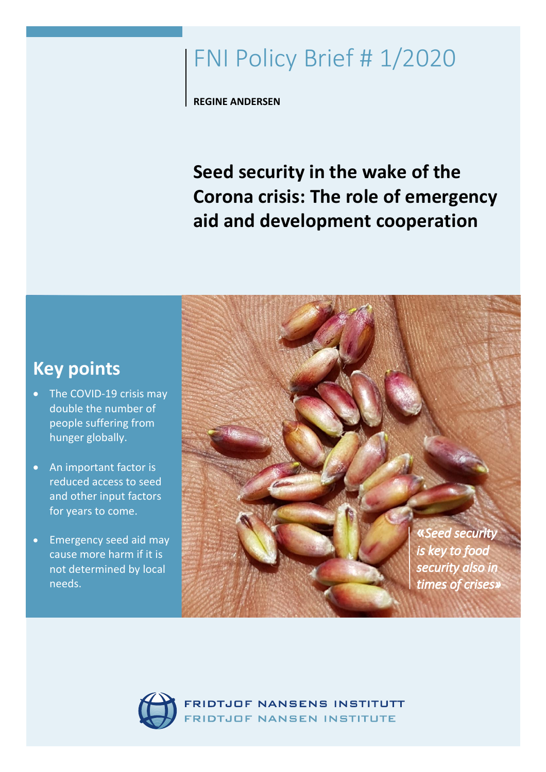# FNI Policy Brief # 1/2020

**REGINE ANDERSEN**

**Seed security in the wake of the Corona crisis: The role of emergency aid and development cooperation**



- The COVID-19 crisis may double the number of people suffering from hunger globally.
- An important factor is reduced access to seed and other input factors for years to come.
- Emergency seed aid may cause more harm if it is not determined by local needs.





DTJOF NANSENS INSTITUTT DTJOF NANSEN INSTITUTE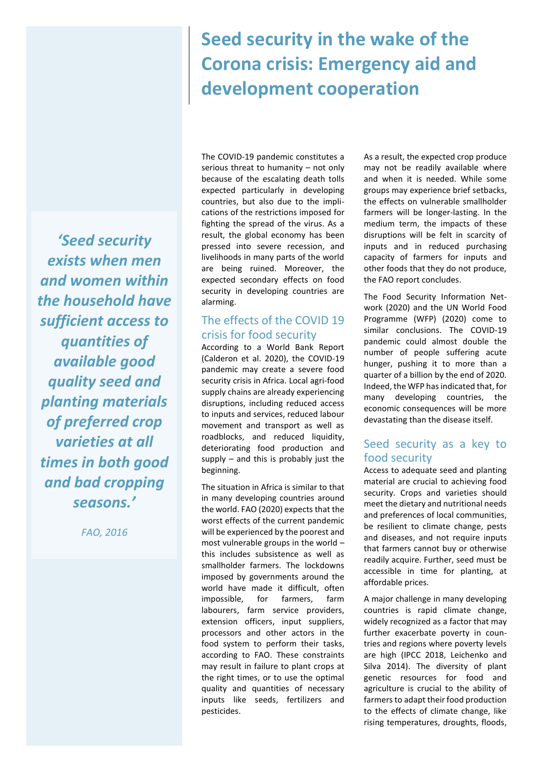## **Seed security in the wake of the Corona crisis: Emergency aid and development cooperation**

*'Seed security exists when men and women within the household have sufficient access to quantities of available good quality seed and planting materials of preferred crop varieties at all times in both good and bad cropping seasons.'*

*FAO, 2016*

The COVID-19 pandemic constitutes a serious threat to humanity – not only because of the escalating death tolls expected particularly in developing countries, but also due to the implications of the restrictions imposed for fighting the spread of the virus. As a result, the global economy has been pressed into severe recession, and livelihoods in many parts of the world are being ruined. Moreover, the expected secondary effects on food security in developing countries are alarming.

## The effects of the COVID 19 crisis for food security

According to a World Bank Report (Calderon et al. 2020), the COVID-19 pandemic may create a severe food security crisis in Africa. Local agri-food supply chains are already experiencing disruptions, including reduced access to inputs and services, reduced labour movement and transport as well as roadblocks, and reduced liquidity, deteriorating food production and supply – and this is probably just the beginning.

The situation in Africa is similar to that in many developing countries around the world. FAO (2020) expects that the worst effects of the current pandemic will be experienced by the poorest and most vulnerable groups in the world – this includes subsistence as well as smallholder farmers. The lockdowns imposed by governments around the world have made it difficult, often impossible, for farmers, farm labourers, farm service providers, extension officers, input suppliers, processors and other actors in the food system to perform their tasks, according to FAO. These constraints may result in failure to plant crops at the right times, or to use the optimal quality and quantities of necessary inputs like seeds, fertilizers and pesticides.

As a result, the expected crop produce may not be readily available where and when it is needed. While some groups may experience brief setbacks, the effects on vulnerable smallholder farmers will be longer-lasting. In the medium term, the impacts of these disruptions will be felt in scarcity of inputs and in reduced purchasing capacity of farmers for inputs and other foods that they do not produce, the FAO report concludes.

The Food Security Information Network (2020) and the UN World Food Programme (WFP) (2020) come to similar conclusions. The COVID-19 pandemic could almost double the number of people suffering acute hunger, pushing it to more than a quarter of a billion by the end of 2020. Indeed, the WFP has indicated that, for many developing countries, the economic consequences will be more devastating than the disease itself.

## Seed security as a key to food security

Access to adequate seed and planting material are crucial to achieving food security. Crops and varieties should meet the dietary and nutritional needs and preferences of local communities, be resilient to climate change, pests and diseases, and not require inputs that farmers cannot buy or otherwise readily acquire. Further, seed must be accessible in time for planting, at affordable prices.

A major challenge in many developing countries is rapid climate change, widely recognized as a factor that may further exacerbate poverty in countries and regions where poverty levels are high (IPCC 2018, Leichenko and Silva 2014). The diversity of plant genetic resources for food and agriculture is crucial to the ability of farmers to adapt their food production to the effects of climate change, like rising temperatures, droughts, floods,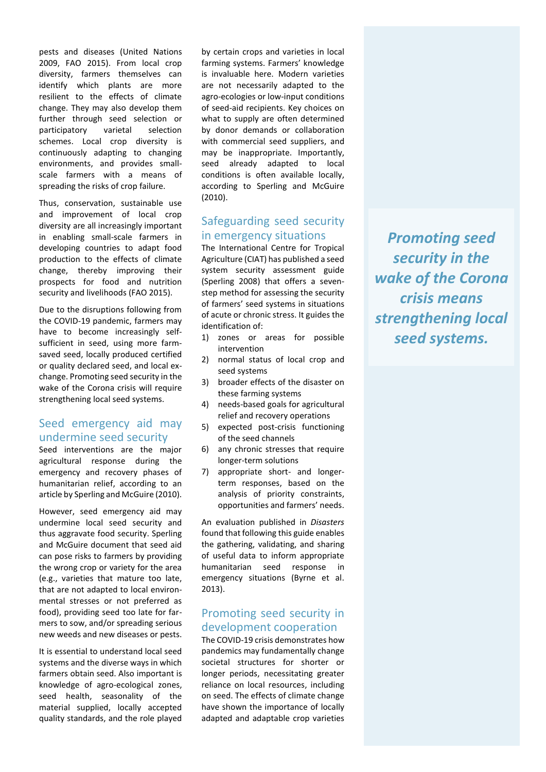pests and diseases (United Nations 2009, FAO 2015). From local crop diversity, farmers themselves can identify which plants are more resilient to the effects of climate change. They may also develop them further through seed selection or participatory varietal selection schemes. Local crop diversity is continuously adapting to changing environments, and provides smallscale farmers with a means of spreading the risks of crop failure.

Thus, conservation, sustainable use and improvement of local crop diversity are all increasingly important in enabling small-scale farmers in developing countries to adapt food production to the effects of climate change, thereby improving their prospects for food and nutrition security and livelihoods (FAO 2015).

Due to the disruptions following from the COVID-19 pandemic, farmers may have to become increasingly selfsufficient in seed, using more farmsaved seed, locally produced certified or quality declared seed, and local exchange. Promoting seed security in the wake of the Corona crisis will require strengthening local seed systems.

## Seed emergency aid may undermine seed security

Seed interventions are the major agricultural response during the emergency and recovery phases of humanitarian relief, according to an article by Sperling and McGuire (2010).

However, seed emergency aid may undermine local seed security and thus aggravate food security. Sperling and McGuire document that seed aid can pose risks to farmers by providing the wrong crop or variety for the area (e.g., varieties that mature too late, that are not adapted to local environmental stresses or not preferred as food), providing seed too late for farmers to sow, and/or spreading serious new weeds and new diseases or pests.

It is essential to understand local seed systems and the diverse ways in which farmers obtain seed. Also important is knowledge of agro-ecological zones, seed health, seasonality of the material supplied, locally accepted quality standards, and the role played

by certain crops and varieties in local farming systems. Farmers' knowledge is invaluable here. Modern varieties are not necessarily adapted to the agro-ecologies or low-input conditions of seed-aid recipients. Key choices on what to supply are often determined by donor demands or collaboration with commercial seed suppliers, and may be inappropriate. Importantly, seed already adapted to local conditions is often available locally, according to Sperling and McGuire (2010).

#### Safeguarding seed security in emergency situations

The International Centre for Tropical Agriculture (CIAT) has published a seed system security assessment guide (Sperling 2008) that offers a sevenstep method for assessing the security of farmers' seed systems in situations of acute or chronic stress. It guides the identification of:

- 1) zones or areas for possible intervention
- 2) normal status of local crop and seed systems
- 3) broader effects of the disaster on these farming systems
- 4) needs-based goals for agricultural relief and recovery operations
- 5) expected post-crisis functioning of the seed channels
- 6) any chronic stresses that require longer-term solutions
- 7) appropriate short- and longerterm responses, based on the analysis of priority constraints, opportunities and farmers' needs.

An evaluation published in *Disasters*  found that following this guide enables the gathering, validating, and sharing of useful data to inform appropriate humanitarian seed response in emergency situations (Byrne et al. 2013).

## Promoting seed security in development cooperation

The COVID-19 crisis demonstrates how pandemics may fundamentally change societal structures for shorter or longer periods, necessitating greater reliance on local resources, including on seed. The effects of climate change have shown the importance of locally adapted and adaptable crop varieties

*Promoting seed security in the wake of the Corona crisis means strengthening local seed systems.*